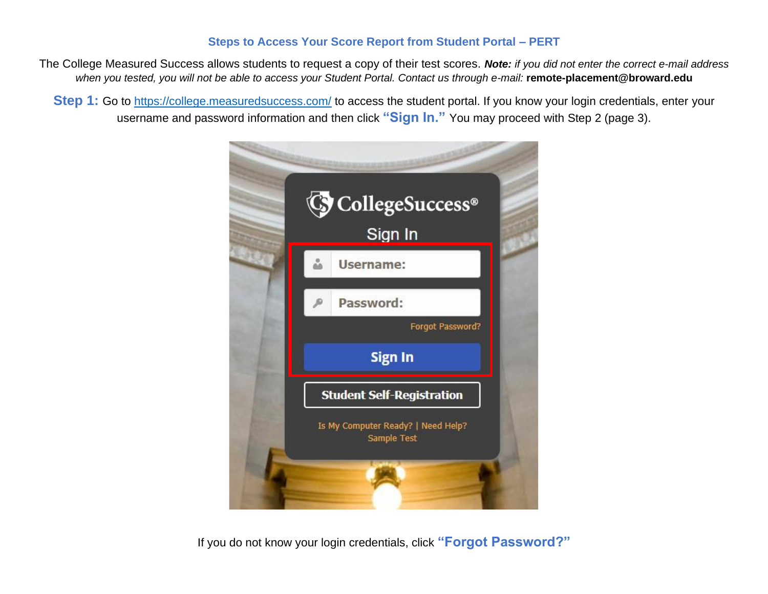## **Steps to Access Your Score Report from Student Portal – PERT**

The College Measured Success allows students to request a copy of their test scores. *Note: if you did not enter the correct e-mail address when you tested, you will not be able to access your Student Portal. Contact us through e-mail:* **remote-placement@broward.edu**

**Step 1:** Go to<https://college.measuredsuccess.com/> to access the student portal. If you know your login credentials, enter your username and password information and then click **"Sign In."** You may proceed with Step 2 (page 3).



If you do not know your login credentials, click **"Forgot Password?"**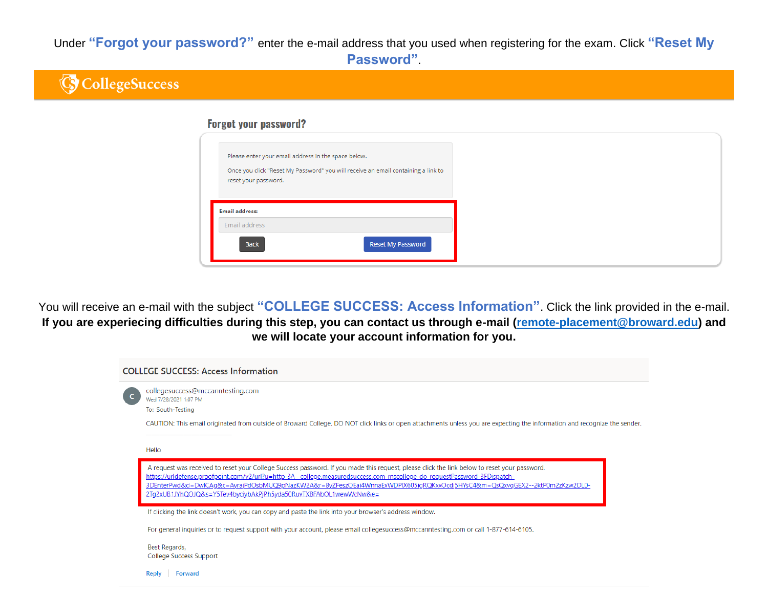Under **"Forgot your password?"** enter the e-mail address that you used when registering for the exam. Click **"Reset My Password"**.



You will receive an e-mail with the subject **"COLLEGE SUCCESS: Access Information"**. Click the link provided in the e-mail. **If you are experiecing difficulties during this step, you can contact us through e-mail [\(remote-placement@broward.edu\)](mailto:remote-placement@broward.edu) and we will locate your account information for you.**

| <b>COLLEGE SUCCESS: Access Information</b>                                                                                                                                                                                                                                                                                                                                                                                                                               |  |
|--------------------------------------------------------------------------------------------------------------------------------------------------------------------------------------------------------------------------------------------------------------------------------------------------------------------------------------------------------------------------------------------------------------------------------------------------------------------------|--|
| collegesuccess@mccanntesting.com<br>Wed 7/28/2021 1:07 PM<br>To: South-Testing                                                                                                                                                                                                                                                                                                                                                                                           |  |
| CAUTION: This email originated from outside of Broward College. DO NOT click links or open attachments unless you are expecting the information and recognize the sender.<br>Hello                                                                                                                                                                                                                                                                                       |  |
| A request was received to reset your College Success password. If you made this request, please click the link below to reset your password.<br>https://urldefense.proofpoint.com/v2/url?u=http-3A college.measuredsuccess.com mscollege do requestPassword-3FDispatch-<br>3DEnterPwd&d=DwlCAq&c=AyrajPdOsbMUQ9pNazKW2A&r=8yZFeszOEai4WnnaExWDPlX605iqRQKxxOcdj5HYsC4&m=QsQxvqGEX2--2ktP0m2zKzw2DL0-<br>2Tq2xUB1JYhQOJQ&s=Y5Tev4byciybAkPjPh5yda50RuvTXBFAbOL1wewWcNw&e= |  |
| If clicking the link doesn't work, you can copy and paste the link into your browser's address window.                                                                                                                                                                                                                                                                                                                                                                   |  |
| For general inquiries or to request support with your account, please email collegesuccess@mccanntesting.com or call 1-877-614-6105.                                                                                                                                                                                                                                                                                                                                     |  |
| Best Regards,<br>College Success Support                                                                                                                                                                                                                                                                                                                                                                                                                                 |  |
| <b>Forward</b><br>Reply                                                                                                                                                                                                                                                                                                                                                                                                                                                  |  |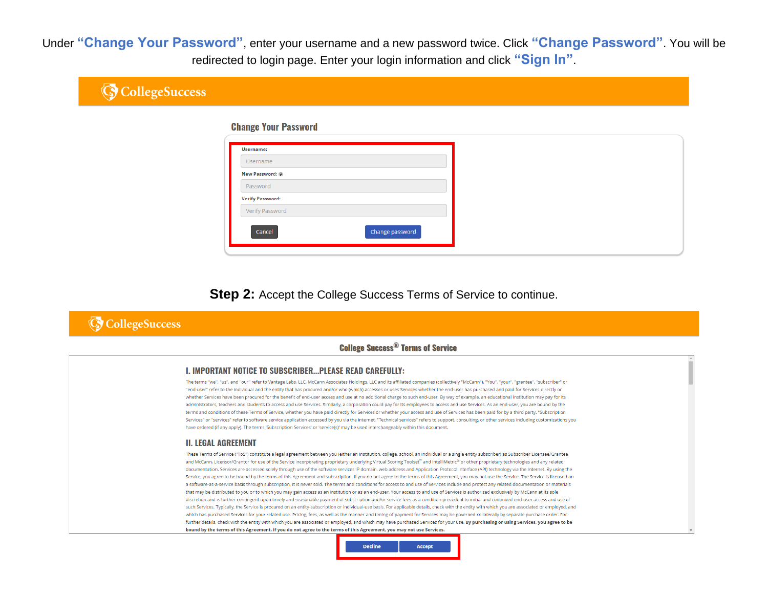Under "Change Your Password", enter your username and a new password twice. Click "Change Password". You will be redirected to login page. Enter your login information and click "Sign In".

| <b>G</b> CollegeSuccess |                             |  |
|-------------------------|-----------------------------|--|
|                         | <b>Change Your Password</b> |  |
|                         | Username:                   |  |
|                         | Username                    |  |
|                         | New Password:               |  |
|                         | Password                    |  |
|                         | <b>Verify Password:</b>     |  |
|                         | Verify Password             |  |
|                         | Cancel<br>Change password   |  |
|                         |                             |  |

Step 2: Accept the College Success Terms of Service to continue.

# **G** CollegeSuccess

## **College Success® Terms of Service**

### **I. IMPORTANT NOTICE TO SUBSCRIBER...PLEASE READ CAREFULLY:**

The terms "we", "us", and "our" refer to Vantage Labs, LLC, McCann Associates Holdings, LLC and its affiliated companies (collectively "McCann"). "You", "your", "grantee", "subscriber" or "end-user" refer to the individual and the entity that has procured and/or who (which) accesses or uses Services whether the end-user has purchased and paid for Services directly or whether Services have been procured for the benefit of end-user access and use at no additional charge to such end-user. By way of example, an educational institution may pay for its administrators, teachers and students to access and use Services, Similarly, a corporation could pay for its employees to access and use Services. As an end-user, you are bound by the terms and conditions of these Terms of Service, whether you have paid directly for Services or whether your access and use of Services has been paid for by a third party. "Subscription Services" or "services" refer to software service application accessed by you via the internet. "Technical services" refers to support, consulting, or other services including customizations you have ordered (if any apply). The terms 'Subscription Services' or 'service(s)' may be used interchangeably within this document.

#### **II. LEGAL AGREEMENT**

These Terms of Service ("ToS") constitute a legal agreement between you (either an institution, college, school, an individual or a single entity subscriber) as Subscriber Licensee/Grantee and McCann, Licensor/Grantor for use of the Service incorporating proprietary underlying Virtual Scoring Toolset" and IntelliMetric® or other proprietary technologies and any related documentation. Services are accessed solely through use of the software services IP domain, web address and Application Protocol Interface (API) technology via the Internet. By using the Service, you agree to be bound by the terms of this Agreement and subscription. If you do not agree to the terms of this Agreement, you may not use the Service. The Service is licensed on a software-as-a-service basis through subscription, it is never sold. The terms and conditions for access to and use of Services include and protect any related documentation or materials that may be distributed to you or to which you may gain access as an institution or as an end-user. Your access to and use of Services is authorized exclusively by McCann at its sole discretion and is further contingent upon timely and seasonable payment of subscription and/or service fees as a condition precedent to initial and continued end-user access and use of such Services. Typically, the Service is procured on an entity-subscription or individual-use basis. For applicable details, check with the entity with which you are associated or employed, and which has purchased Services for your related use. Pricing, fees, as well as the manner and timing of payment for Services may be governed collaterally by separate purchase order. For further details, check with the entity with which you are associated or employed, and which may have purchased Services for your use. By purchasing or using Services, you agree to be bound by the terms of this Agreement. If you do not agree to the terms of this Agreement, you may not use Services.